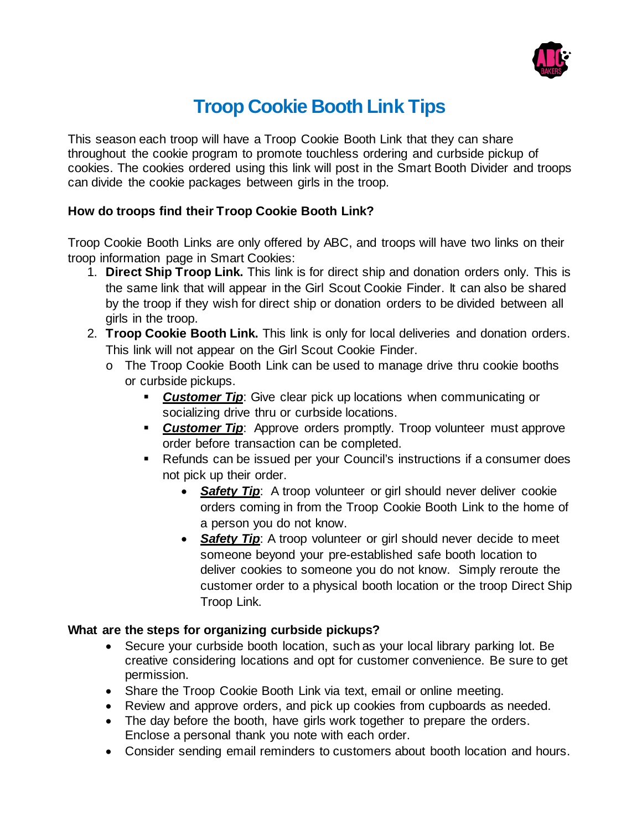

# **Troop Cookie Booth Link Tips**

This season each troop will have a Troop Cookie Booth Link that they can share throughout the cookie program to promote touchless ordering and curbside pickup of cookies. The cookies ordered using this link will post in the Smart Booth Divider and troops can divide the cookie packages between girls in the troop.

# **How do troops find their Troop Cookie Booth Link?**

Troop Cookie Booth Links are only offered by ABC, and troops will have two links on their troop information page in Smart Cookies:

- 1. **Direct Ship Troop Link.** This link is for direct ship and donation orders only. This is the same link that will appear in the Girl Scout Cookie Finder. It can also be shared by the troop if they wish for direct ship or donation orders to be divided between all girls in the troop.
- 2. **Troop Cookie Booth Link.** This link is only for local deliveries and donation orders. This link will not appear on the Girl Scout Cookie Finder.
	- o The Troop Cookie Booth Link can be used to manage drive thru cookie booths or curbside pickups.
		- **Customer Tip:** Give clear pick up locations when communicating or socializing drive thru or curbside locations.
		- **Customer Tip:** Approve orders promptly. Troop volunteer must approve order before transaction can be completed.
		- Refunds can be issued per your Council's instructions if a consumer does not pick up their order.
			- **Safety Tip:** A troop volunteer or girl should never deliver cookie orders coming in from the Troop Cookie Booth Link to the home of a person you do not know.
			- **Safety Tip:** A troop volunteer or girl should never decide to meet someone beyond your pre-established safe booth location to deliver cookies to someone you do not know. Simply reroute the customer order to a physical booth location or the troop Direct Ship Troop Link.

# **What are the steps for organizing curbside pickups?**

- Secure your curbside booth location, such as your local library parking lot. Be creative considering locations and opt for customer convenience. Be sure to get permission.
- Share the Troop Cookie Booth Link via text, email or online meeting.
- Review and approve orders, and pick up cookies from cupboards as needed.
- The day before the booth, have girls work together to prepare the orders. Enclose a personal thank you note with each order.
- Consider sending email reminders to customers about booth location and hours.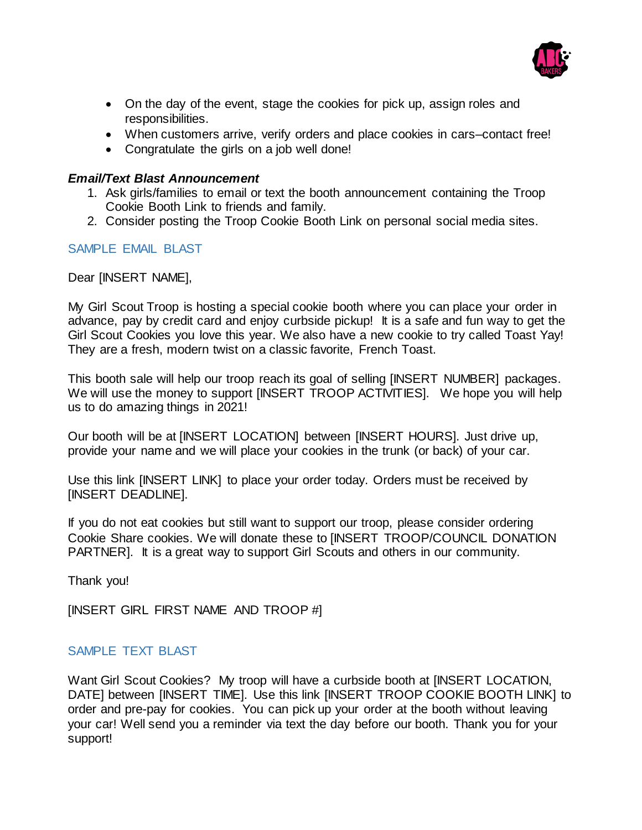

- On the day of the event, stage the cookies for pick up, assign roles and responsibilities.
- When customers arrive, verify orders and place cookies in cars–contact free!
- Congratulate the girls on a job well done!

## *Email/Text Blast Announcement*

- 1. Ask girls/families to email or text the booth announcement containing the Troop Cookie Booth Link to friends and family.
- 2. Consider posting the Troop Cookie Booth Link on personal social media sites.

# SAMPLE EMAIL BLAST

Dear [INSERT NAME],

My Girl Scout Troop is hosting a special cookie booth where you can place your order in advance, pay by credit card and enjoy curbside pickup! It is a safe and fun way to get the Girl Scout Cookies you love this year. We also have a new cookie to try called Toast Yay! They are a fresh, modern twist on a classic favorite, French Toast.

This booth sale will help our troop reach its goal of selling [INSERT NUMBER] packages. We will use the money to support [INSERT TROOP ACTIVITIES]. We hope you will help us to do amazing things in 2021!

Our booth will be at [INSERT LOCATION] between [INSERT HOURS]. Just drive up, provide your name and we will place your cookies in the trunk (or back) of your car.

Use this link [INSERT LINK] to place your order today. Orders must be received by [INSERT DEADLINE].

If you do not eat cookies but still want to support our troop, please consider ordering Cookie Share cookies. We will donate these to [INSERT TROOP/COUNCIL DONATION PARTNER]. It is a great way to support Girl Scouts and others in our community.

Thank you!

[INSERT GIRL FIRST NAME AND TROOP #]

# SAMPLE TEXT BLAST

Want Girl Scout Cookies? My troop will have a curbside booth at [INSERT LOCATION, DATE] between [INSERT TIME]. Use this link [INSERT TROOP COOKIE BOOTH LINK] to order and pre-pay for cookies. You can pick up your order at the booth without leaving your car! Well send you a reminder via text the day before our booth. Thank you for your support!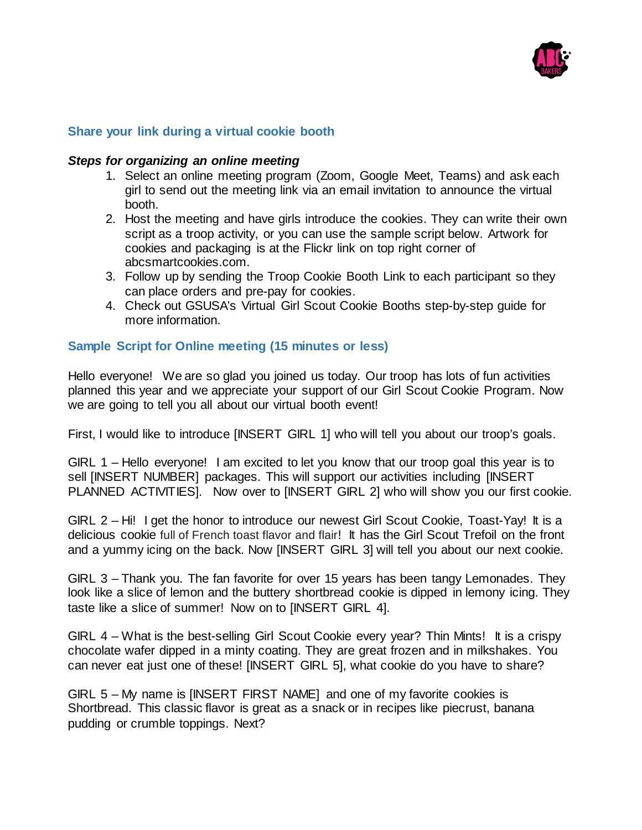

## **Share your link during a virtual cookie booth**

#### *Steps for organizing an online meeting*

- 1. Select an online meeting program (Zoom, Google Meet, Teams) and ask each girl to send out the meeting link via an email invitation to announce the virtual booth.
- 2. Host the meeting and have girls introduce the cookies. They can write their own script as a troop activity, or you can use the sample script below. Artwork for cookies and packaging is at the Flickr link on top right corner of abcsmartcookies.com.
- 3. Follow up by sending the Troop Cookie Booth Link to each participant so they can place orders and pre-pay for cookies.
- 4. Check out GSUSA's Virtual Girl Scout Cookie Booths step-by-step guide for more information.

### **Sample Script for Online meeting (15 minutes or less)**

Hello everyone! We are so glad you joined us today. Our troop has lots of fun activities planned this year and we appreciate your support of our Girl Scout Cookie Program. Now we are going to tell you all about our virtual booth event!

First, I would like to introduce [INSERT GIRL 1] who will tell you about our troop's goals.

GIRL 1 – Hello everyone! I am excited to let you know that our troop goal this year is to sell [INSERT NUMBER] packages. This will support our activities including [INSERT PLANNED ACTIVITIES]. Now over to [INSERT GIRL 2] who will show you our first cookie.

GIRL 2 – Hi! I get the honor to introduce our newest Girl Scout Cookie, Toast-Yay! It is a delicious cookie full of French toast flavor and flair! It has the Girl Scout Trefoil on the front and a yummy icing on the back. Now [INSERT GIRL 3] will tell you about our next cookie.

GIRL 3 – Thank you. The fan favorite for over 15 years has been tangy Lemonades. They look like a slice of lemon and the buttery shortbread cookie is dipped in lemony icing. They taste like a slice of summer! Now on to [INSERT GIRL 4].

GIRL 4 – What is the best-selling Girl Scout Cookie every year? Thin Mints! It is a crispy chocolate wafer dipped in a minty coating. They are great frozen and in milkshakes. You can never eat just one of these! [INSERT GIRL 5], what cookie do you have to share?

GIRL 5 – My name is [INSERT FIRST NAME] and one of my favorite cookies is Shortbread. This classic flavor is great as a snack or in recipes like piecrust, banana pudding or crumble toppings. Next?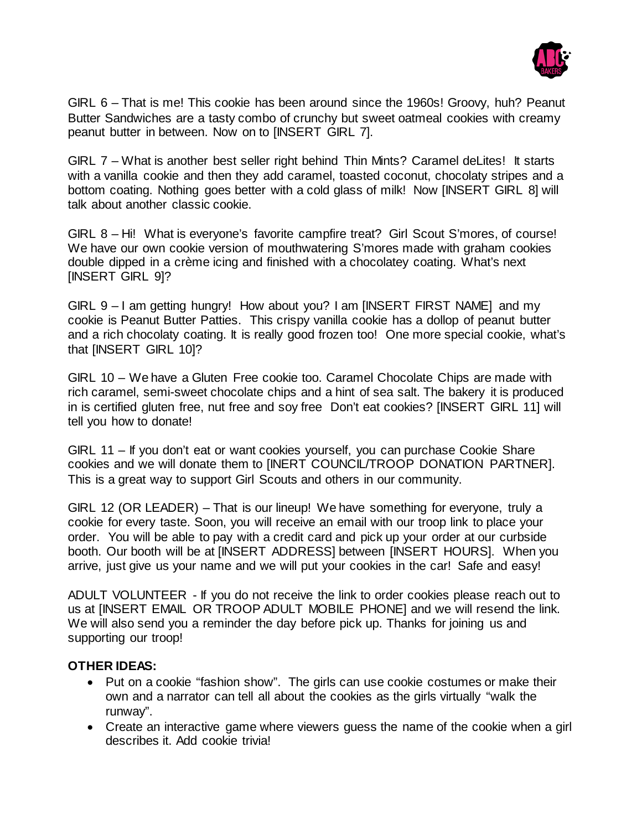

GIRL 6 – That is me! This cookie has been around since the 1960s! Groovy, huh? Peanut Butter Sandwiches are a tasty combo of crunchy but sweet oatmeal cookies with creamy peanut butter in between. Now on to [INSERT GIRL 7].

GIRL 7 – What is another best seller right behind Thin Mints? Caramel deLites! It starts with a vanilla cookie and then they add caramel, toasted coconut, chocolaty stripes and a bottom coating. Nothing goes better with a cold glass of milk! Now [INSERT GIRL 8] will talk about another classic cookie.

GIRL 8 – Hi! What is everyone's favorite campfire treat? Girl Scout S'mores, of course! We have our own cookie version of mouthwatering S'mores made with graham cookies double dipped in a crème icing and finished with a chocolatey coating. What's next [INSERT GIRL 9]?

GIRL 9 – I am getting hungry! How about you? I am [INSERT FIRST NAME] and my cookie is Peanut Butter Patties. This crispy vanilla cookie has a dollop of peanut butter and a rich chocolaty coating. It is really good frozen too! One more special cookie, what's that [INSERT GIRL 10]?

GIRL 10 – We have a Gluten Free cookie too. Caramel Chocolate Chips are made with rich caramel, semi-sweet chocolate chips and a hint of sea salt. The bakery it is produced in is certified gluten free, nut free and soy free Don't eat cookies? [INSERT GIRL 11] will tell you how to donate!

GIRL 11 – If you don't eat or want cookies yourself, you can purchase Cookie Share cookies and we will donate them to [INERT COUNCIL/TROOP DONATION PARTNER]. This is a great way to support Girl Scouts and others in our community.

GIRL 12 (OR LEADER) – That is our lineup! We have something for everyone, truly a cookie for every taste. Soon, you will receive an email with our troop link to place your order. You will be able to pay with a credit card and pick up your order at our curbside booth. Our booth will be at [INSERT ADDRESS] between [INSERT HOURS]. When you arrive, just give us your name and we will put your cookies in the car! Safe and easy!

ADULT VOLUNTEER - If you do not receive the link to order cookies please reach out to us at [INSERT EMAIL OR TROOP ADULT MOBILE PHONE] and we will resend the link. We will also send you a reminder the day before pick up. Thanks for joining us and supporting our troop!

# **OTHER IDEAS:**

- Put on a cookie "fashion show". The girls can use cookie costumes or make their own and a narrator can tell all about the cookies as the girls virtually "walk the runway".
- Create an interactive game where viewers guess the name of the cookie when a girl describes it. Add cookie trivia!